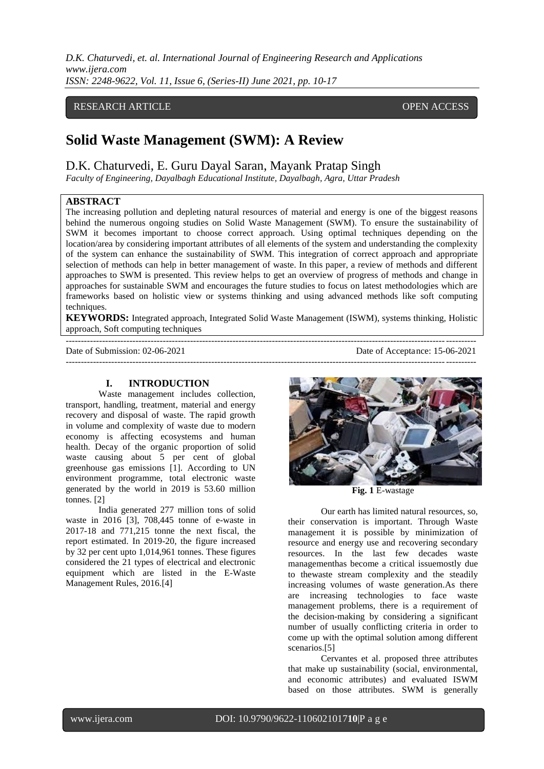*D.K. Chaturvedi, et. al. International Journal of Engineering Research and Applications www.ijera.com ISSN: 2248-9622, Vol. 11, Issue 6, (Series-II) June 2021, pp. 10-17*

# RESEARCH ARTICLE **CONTRACT OPEN ACCESS**

# **Solid Waste Management (SWM): A Review**

D.K. Chaturvedi, E. Guru Dayal Saran, Mayank Pratap Singh

*Faculty of Engineering, Dayalbagh Educational Institute, Dayalbagh, Agra, Uttar Pradesh*

# **ABSTRACT**

The increasing pollution and depleting natural resources of material and energy is one of the biggest reasons behind the numerous ongoing studies on Solid Waste Management (SWM). To ensure the sustainability of SWM it becomes important to choose correct approach. Using optimal techniques depending on the location/area by considering important attributes of all elements of the system and understanding the complexity of the system can enhance the sustainability of SWM. This integration of correct approach and appropriate selection of methods can help in better management of waste. In this paper, a review of methods and different approaches to SWM is presented. This review helps to get an overview of progress of methods and change in approaches for sustainable SWM and encourages the future studies to focus on latest methodologies which are frameworks based on holistic view or systems thinking and using advanced methods like soft computing techniques.

**KEYWORDS:** Integrated approach, Integrated Solid Waste Management (ISWM), systems thinking, Holistic approach, Soft computing techniques

---------------------------------------------------------------------------------------------------------------------------------------

Date of Submission: 02-06-2021 Date of Acceptance: 15-06-2021 ---------------------------------------------------------------------------------------------------------------------------------------

#### **I. INTRODUCTION**

Waste management includes collection, transport, handling, treatment, material and energy recovery and disposal of waste. The rapid growth in volume and complexity of waste due to modern economy is affecting ecosystems and human health. Decay of the organic proportion of solid waste causing about 5 per cent of global greenhouse gas emissions [1]. According to UN environment programme, total electronic waste generated by the world in 2019 is 53.60 million tonnes. [2]

India generated 277 million tons of solid waste in 2016 [3], 708,445 tonne of e-waste in 2017-18 and 771,215 tonne the next fiscal, the report estimated. In 2019-20, the figure increased by 32 per cent upto 1,014,961 tonnes. These figures considered the 21 types of electrical and electronic equipment which are listed in the E-Waste Management Rules, 2016.[4]



**Fig. 1** E-wastage

Our earth has limited natural resources, so, their conservation is important. Through Waste management it is possible by minimization of resource and energy use and recovering secondary resources. In the last few decades waste managementhas become a critical issuemostly due to thewaste stream complexity and the steadily increasing volumes of waste generation.As there are increasing technologies to face waste management problems, there is a requirement of the decision-making by considering a significant number of usually conflicting criteria in order to come up with the optimal solution among different scenarios.[5]

Cervantes et al. proposed three attributes that make up sustainability (social, environmental, and economic attributes) and evaluated ISWM based on those attributes. SWM is generally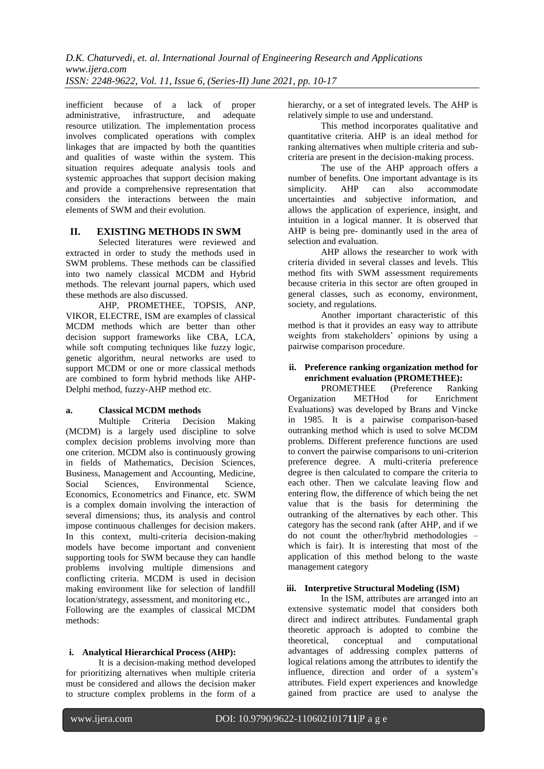inefficient because of a lack of proper administrative, infrastructure, and adequate resource utilization. The implementation process involves complicated operations with complex linkages that are impacted by both the quantities and qualities of waste within the system. This situation requires adequate analysis tools and systemic approaches that support decision making and provide a comprehensive representation that considers the interactions between the main elements of SWM and their evolution.

## **II. EXISTING METHODS IN SWM**

Selected literatures were reviewed and extracted in order to study the methods used in SWM problems. These methods can be classified into two namely classical MCDM and Hybrid methods. The relevant journal papers, which used these methods are also discussed.

AHP, PROMETHEE, TOPSIS, ANP, VIKOR, ELECTRE, ISM are examples of classical MCDM methods which are better than other decision support frameworks like CBA, LCA, while soft computing techniques like fuzzy logic, genetic algorithm, neural networks are used to support MCDM or one or more classical methods are combined to form hybrid methods like AHP-Delphi method, fuzzy-AHP method etc.

## **a. Classical MCDM methods**

Multiple Criteria Decision Making (MCDM) is a largely used discipline to solve complex decision problems involving more than one criterion. MCDM also is continuously growing in fields of Mathematics, Decision Sciences, Business, Management and Accounting, Medicine, Social Sciences, Environmental Science, Economics, Econometrics and Finance, etc. SWM is a complex domain involving the interaction of several dimensions; thus, its analysis and control impose continuous challenges for decision makers. In this context, multi-criteria decision-making models have become important and convenient supporting tools for SWM because they can handle problems involving multiple dimensions and conflicting criteria. MCDM is used in decision making environment like for selection of landfill location/strategy, assessment, and monitoring etc., Following are the examples of classical MCDM methods:

## **i. Analytical Hierarchical Process (AHP):**

It is a decision-making method developed for prioritizing alternatives when multiple criteria must be considered and allows the decision maker to structure complex problems in the form of a hierarchy, or a set of integrated levels. The AHP is relatively simple to use and understand.

This method incorporates qualitative and quantitative criteria. AHP is an ideal method for ranking alternatives when multiple criteria and subcriteria are present in the decision-making process.

The use of the AHP approach offers a number of benefits. One important advantage is its simplicity. AHP can also accommodate uncertainties and subjective information, and allows the application of experience, insight, and intuition in a logical manner. It is observed that AHP is being pre- dominantly used in the area of selection and evaluation.

AHP allows the researcher to work with criteria divided in several classes and levels. This method fits with SWM assessment requirements because criteria in this sector are often grouped in general classes, such as economy, environment, society, and regulations.

Another important characteristic of this method is that it provides an easy way to attribute weights from stakeholders' opinions by using a pairwise comparison procedure.

# **ii. Preference ranking organization method for enrichment evaluation (PROMETHEE):**

PROMETHEE (Preference Ranking Organization METHod for Enrichment Evaluations) was developed by Brans and Vincke in 1985. It is a pairwise comparison-based outranking method which is used to solve MCDM problems. Different preference functions are used to convert the pairwise comparisons to uni-criterion preference degree. A multi-criteria preference degree is then calculated to compare the criteria to each other. Then we calculate leaving flow and entering flow, the difference of which being the net value that is the basis for determining the outranking of the alternatives by each other. This category has the second rank (after AHP, and if we do not count the other/hybrid methodologies – which is fair). It is interesting that most of the application of this method belong to the waste management category

## **iii. Interpretive Structural Modeling (ISM)**

In the ISM, attributes are arranged into an extensive systematic model that considers both direct and indirect attributes. Fundamental graph theoretic approach is adopted to combine the theoretical, conceptual and computational advantages of addressing complex patterns of logical relations among the attributes to identify the influence, direction and order of a system's attributes. Field expert experiences and knowledge gained from practice are used to analyse the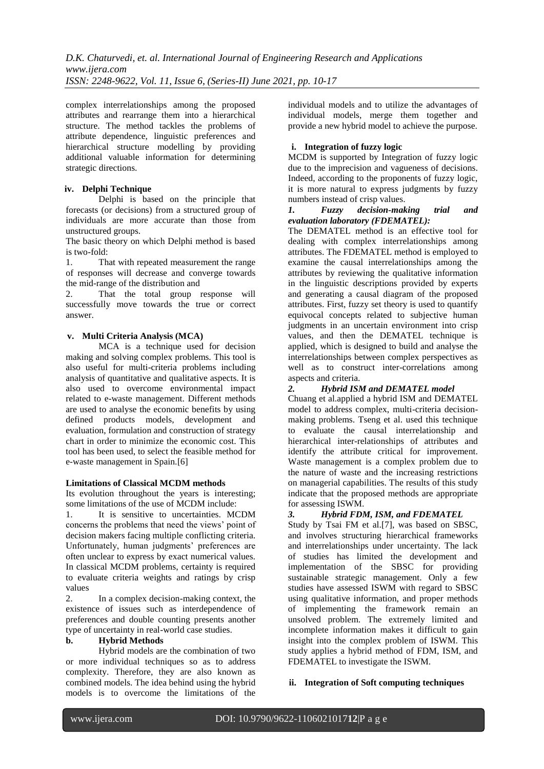complex interrelationships among the proposed attributes and rearrange them into a hierarchical structure. The method tackles the problems of attribute dependence, linguistic preferences and hierarchical structure modelling by providing additional valuable information for determining strategic directions.

# **iv. Delphi Technique**

Delphi is based on the principle that forecasts (or decisions) from a structured group of individuals are more accurate than those from unstructured groups.

The basic theory on which Delphi method is based is two-fold:

1. That with repeated measurement the range of responses will decrease and converge towards the mid-range of the distribution and

2. That the total group response will successfully move towards the true or correct answer.

## **v. Multi Criteria Analysis (MCA)**

MCA is a technique used for decision making and solving complex problems. This tool is also useful for multi-criteria problems including analysis of quantitative and qualitative aspects. It is also used to overcome environmental impact related to e-waste management. Different methods are used to analyse the economic benefits by using defined products models, development and evaluation, formulation and construction of strategy chart in order to minimize the economic cost. This tool has been used, to select the feasible method for e-waste management in Spain.[6]

## **Limitations of Classical MCDM methods**

Its evolution throughout the years is interesting; some limitations of the use of MCDM include:

1. It is sensitive to uncertainties. MCDM concerns the problems that need the views" point of decision makers facing multiple conflicting criteria. Unfortunately, human judgments' preferences are often unclear to express by exact numerical values. In classical MCDM problems, certainty is required to evaluate criteria weights and ratings by crisp values

2. In a complex decision-making context, the existence of issues such as interdependence of preferences and double counting presents another type of uncertainty in real-world case studies.

#### **b. Hybrid Methods**

Hybrid models are the combination of two or more individual techniques so as to address complexity. Therefore, they are also known as combined models. The idea behind using the hybrid models is to overcome the limitations of the

individual models and to utilize the advantages of individual models, merge them together and provide a new hybrid model to achieve the purpose.

## **i. Integration of fuzzy logic**

MCDM is supported by Integration of fuzzy logic due to the imprecision and vagueness of decisions. Indeed, according to the proponents of fuzzy logic, it is more natural to express judgments by fuzzy numbers instead of crisp values.

#### *1. Fuzzy decision-making trial and evaluation laboratory (FDEMATEL):*

The DEMATEL method is an effective tool for dealing with complex interrelationships among attributes. The FDEMATEL method is employed to examine the causal interrelationships among the attributes by reviewing the qualitative information in the linguistic descriptions provided by experts and generating a causal diagram of the proposed attributes. First, fuzzy set theory is used to quantify equivocal concepts related to subjective human judgments in an uncertain environment into crisp values, and then the DEMATEL technique is applied, which is designed to build and analyse the interrelationships between complex perspectives as well as to construct inter-correlations among aspects and criteria.

## *2. Hybrid ISM and DEMATEL model*

Chuang et al.applied a hybrid ISM and DEMATEL model to address complex, multi-criteria decisionmaking problems. Tseng et al. used this technique to evaluate the causal interrelationship and hierarchical inter-relationships of attributes and identify the attribute critical for improvement. Waste management is a complex problem due to the nature of waste and the increasing restrictions on managerial capabilities. The results of this study indicate that the proposed methods are appropriate for assessing ISWM.

## *3. Hybrid FDM, ISM, and FDEMATEL*

Study by Tsai FM et al.[7], was based on SBSC, and involves structuring hierarchical frameworks and interrelationships under uncertainty. The lack of studies has limited the development and implementation of the SBSC for providing sustainable strategic management. Only a few studies have assessed ISWM with regard to SBSC using qualitative information, and proper methods of implementing the framework remain an unsolved problem. The extremely limited and incomplete information makes it difficult to gain insight into the complex problem of ISWM. This study applies a hybrid method of FDM, ISM, and FDEMATEL to investigate the ISWM.

## **ii. Integration of Soft computing techniques**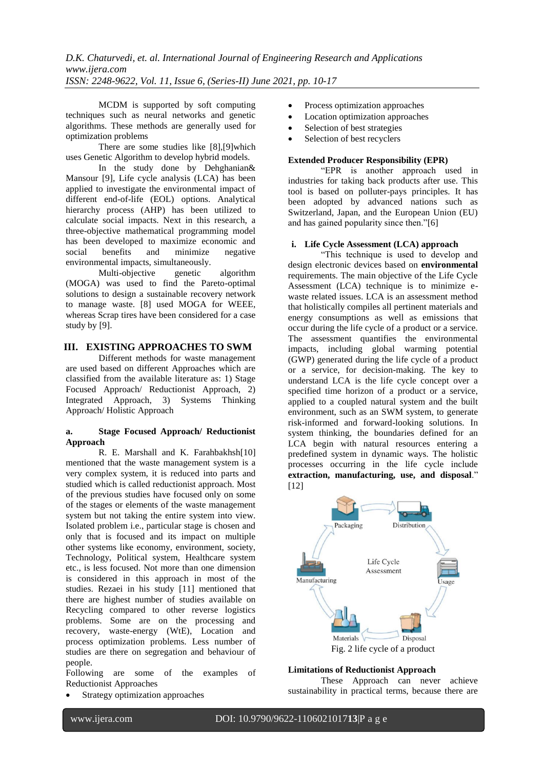MCDM is supported by soft computing techniques such as neural networks and genetic algorithms. These methods are generally used for optimization problems

There are some studies like [8],[9]which uses Genetic Algorithm to develop hybrid models.

In the study done by Dehghanian& Mansour [9], Life cycle analysis (LCA) has been applied to investigate the environmental impact of different end-of-life (EOL) options. Analytical hierarchy process (AHP) has been utilized to calculate social impacts. Next in this research, a three-objective mathematical programming model has been developed to maximize economic and social benefits and minimize negative environmental impacts, simultaneously.

Multi-objective genetic algorithm (MOGA) was used to find the Pareto-optimal solutions to design a sustainable recovery network to manage waste. [8] used MOGA for WEEE, whereas Scrap tires have been considered for a case study by [9].

## **III. EXISTING APPROACHES TO SWM**

Different methods for waste management are used based on different Approaches which are classified from the available literature as: 1) Stage Focused Approach/ Reductionist Approach, 2) Integrated Approach, 3) Systems Thinking Approach/ Holistic Approach

#### **a. Stage Focused Approach/ Reductionist Approach**

R. E. Marshall and K. Farahbakhsh[10] mentioned that the waste management system is a very complex system, it is reduced into parts and studied which is called reductionist approach. Most of the previous studies have focused only on some of the stages or elements of the waste management system but not taking the entire system into view. Isolated problem i.e., particular stage is chosen and only that is focused and its impact on multiple other systems like economy, environment, society, Technology, Political system, Healthcare system etc., is less focused. Not more than one dimension is considered in this approach in most of the studies. Rezaei in his study [11] mentioned that there are highest number of studies available on Recycling compared to other reverse logistics problems. Some are on the processing and recovery, waste-energy (WtE), Location and process optimization problems. Less number of studies are there on segregation and behaviour of people.

Following are some of the examples of Reductionist Approaches

Strategy optimization approaches

- Process optimization approaches
- Location optimization approaches
- Selection of best strategies
- Selection of best recyclers

#### **Extended Producer Responsibility (EPR)**

"EPR is another approach used in industries for taking back products after use. This tool is based on polluter-pays principles. It has been adopted by advanced nations such as Switzerland, Japan, and the European Union (EU) and has gained popularity since then."[6]

#### **i. Life Cycle Assessment (LCA) approach**

"This technique is used to develop and design electronic devices based on **environmental** requirements. The main objective of the Life Cycle Assessment (LCA) technique is to minimize ewaste related issues. LCA is an assessment method that holistically compiles all pertinent materials and energy consumptions as well as emissions that occur during the life cycle of a product or a service. The assessment quantifies the environmental impacts, including global warming potential (GWP) generated during the life cycle of a product or a service, for decision-making. The key to understand LCA is the life cycle concept over a specified time horizon of a product or a service, applied to a coupled natural system and the built environment, such as an SWM system, to generate risk-informed and forward-looking solutions. In system thinking, the boundaries defined for an LCA begin with natural resources entering a predefined system in dynamic ways. The holistic processes occurring in the life cycle include **extraction, manufacturing, use, and disposal**." [12]



#### **Limitations of Reductionist Approach**

These Approach can never achieve sustainability in practical terms, because there are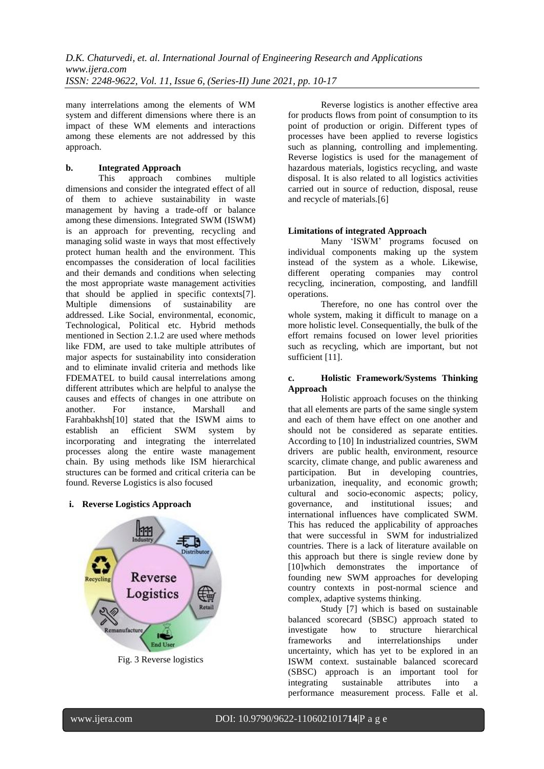many interrelations among the elements of WM system and different dimensions where there is an impact of these WM elements and interactions among these elements are not addressed by this approach.

# **b. Integrated Approach**

This approach combines multiple dimensions and consider the integrated effect of all of them to achieve sustainability in waste management by having a trade-off or balance among these dimensions. Integrated SWM (ISWM) is an approach for preventing, recycling and managing solid waste in ways that most effectively protect human health and the environment. This encompasses the consideration of local facilities and their demands and conditions when selecting the most appropriate waste management activities that should be applied in specific contexts[7]. Multiple dimensions of sustainability are addressed. Like Social, environmental, economic, Technological, Political etc. Hybrid methods mentioned in Section 2.1.2 are used where methods like FDM, are used to take multiple attributes of major aspects for sustainability into consideration and to eliminate invalid criteria and methods like FDEMATEL to build causal interrelations among different attributes which are helpful to analyse the causes and effects of changes in one attribute on another. For instance, Marshall and Farahbakhsh[10] stated that the ISWM aims to establish an efficient SWM system by incorporating and integrating the interrelated processes along the entire waste management chain. By using methods like ISM hierarchical structures can be formed and critical criteria can be found. Reverse Logistics is also focused

## **i. Reverse Logistics Approach**



Fig. 3 Reverse logistics

Reverse logistics is another effective area for products flows from point of consumption to its point of production or origin. Different types of processes have been applied to reverse logistics such as planning, controlling and implementing. Reverse logistics is used for the management of hazardous materials, logistics recycling, and waste disposal. It is also related to all logistics activities carried out in source of reduction, disposal, reuse and recycle of materials.[6]

## **Limitations of integrated Approach**

Many "ISWM" programs focused on individual components making up the system instead of the system as a whole. Likewise, different operating companies may control recycling, incineration, composting, and landfill operations.

Therefore, no one has control over the whole system, making it difficult to manage on a more holistic level. Consequentially, the bulk of the effort remains focused on lower level priorities such as recycling, which are important, but not sufficient [11].

## **c. Holistic Framework/Systems Thinking Approach**

Holistic approach focuses on the thinking that all elements are parts of the same single system and each of them have effect on one another and should not be considered as separate entities. According to [10] In industrialized countries, SWM drivers are public health, environment, resource scarcity, climate change, and public awareness and participation. But in developing countries, urbanization, inequality, and economic growth; cultural and socio-economic aspects; policy, governance, and institutional issues; and governance, and institutional issues; and international influences have complicated SWM. This has reduced the applicability of approaches that were successful in SWM for industrialized countries. There is a lack of literature available on this approach but there is single review done by [10]which demonstrates the importance of founding new SWM approaches for developing country contexts in post-normal science and complex, adaptive systems thinking.

Study [7] which is based on sustainable balanced scorecard (SBSC) approach stated to investigate how to structure hierarchical frameworks and interrelationships under uncertainty, which has yet to be explored in an ISWM context. sustainable balanced scorecard (SBSC) approach is an important tool for integrating sustainable attributes into a performance measurement process. Falle et al.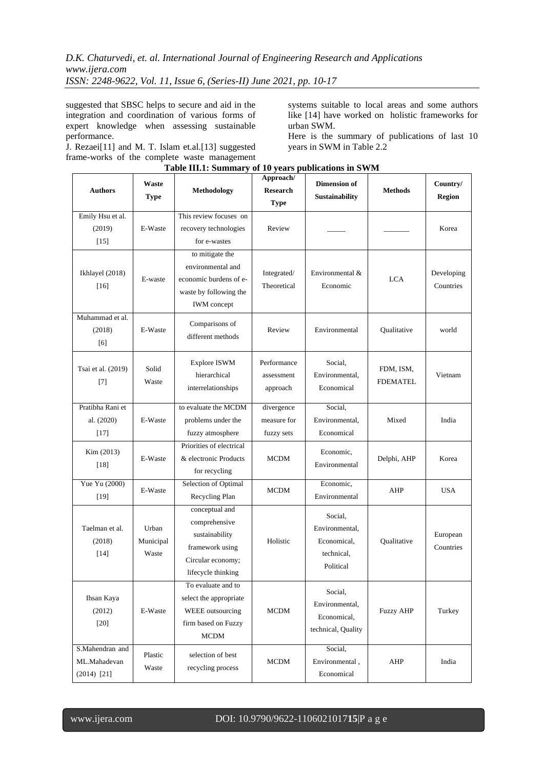suggested that SBSC helps to secure and aid in the integration and coordination of various forms of expert knowledge when assessing sustainable performance.

J. Rezaei[11] and M. T. Islam et.al.[13] suggested frame-works of the complete waste management

systems suitable to local areas and some authors like [14] have worked on holistic frameworks for urban SWM.

Here is the summary of publications of last 10 years in SWM in Table 2.2

| <b>Authors</b>                                   | Waste<br><b>Type</b>        | <b>Methodology</b>                                                                                              | Approach/<br><b>Research</b>            | <b>Dimension of</b><br><b>Sustainability</b>                        | <b>Methods</b>               | Country/<br><b>Region</b> |
|--------------------------------------------------|-----------------------------|-----------------------------------------------------------------------------------------------------------------|-----------------------------------------|---------------------------------------------------------------------|------------------------------|---------------------------|
|                                                  |                             |                                                                                                                 | <b>Type</b>                             |                                                                     |                              |                           |
| Emily Hsu et al.<br>(2019)<br>$[15]$             | E-Waste                     | This review focuses on<br>recovery technologies<br>for e-wastes                                                 | Review                                  |                                                                     |                              | Korea                     |
| Ikhlayel (2018)<br>$[16]$                        | E-waste                     | to mitigate the<br>environmental and<br>economic burdens of e-<br>waste by following the<br><b>IWM</b> concept  | Integrated/<br>Theoretical              | Environmental &<br>Economic                                         | <b>LCA</b>                   | Developing<br>Countries   |
| Muhammad et al.<br>(2018)<br>[6]                 | E-Waste                     | Comparisons of<br>different methods                                                                             | Review                                  | Environmental                                                       | Qualitative                  | world                     |
| Tsai et al. (2019)<br>$[7]$                      | Solid<br>Waste              | <b>Explore ISWM</b><br>hierarchical<br>interrelationships                                                       | Performance<br>assessment<br>approach   | Social,<br>Environmental.<br>Economical                             | FDM, ISM,<br><b>FDEMATEL</b> | Vietnam                   |
| Pratibha Rani et<br>al. (2020)<br>$[17]$         | E-Waste                     | to evaluate the MCDM<br>problems under the<br>fuzzy atmosphere                                                  | divergence<br>measure for<br>fuzzy sets | Social,<br>Environmental,<br>Economical                             | Mixed                        | India                     |
| Kim (2013)<br>$[18]$                             | E-Waste                     | Priorities of electrical<br>& electronic Products<br>for recycling                                              | MCDM                                    | Economic,<br>Environmental                                          | Delphi, AHP                  | Korea                     |
| Yue Yu (2000)<br>$[19]$                          | E-Waste                     | Selection of Optimal<br>Recycling Plan                                                                          | MCDM                                    | Economic,<br>Environmental                                          | AHP                          | USA                       |
| Taelman et al.<br>(2018)<br>$[14]$               | Urban<br>Municipal<br>Waste | conceptual and<br>comprehensive<br>sustainability<br>framework using<br>Circular economy;<br>lifecycle thinking | Holistic                                | Social,<br>Environmental.<br>Economical,<br>technical,<br>Political | Qualitative                  | European<br>Countries     |
| Ihsan Kaya<br>(2012)<br>$[20]$                   | E-Waste                     | To evaluate and to<br>select the appropriate<br>WEEE outsourcing<br>firm based on Fuzzy<br>MCDM                 | MCDM                                    | Social,<br>Environmental,<br>Economical,<br>technical, Quality      | <b>Fuzzy AHP</b>             | Turkey                    |
| S.Mahendran and<br>ML.Mahadevan<br>$(2014)$ [21] | Plastic<br>Waste            | selection of best<br>recycling process                                                                          | MCDM                                    | Social,<br>Environmental,<br>Economical                             | AHP                          | India                     |

|  |  | Table III.1: Summary of 10 years publications in SWM |  |
|--|--|------------------------------------------------------|--|
|  |  |                                                      |  |

# www.ijera.com DOI: 10.9790/9622-1106021017**15**|P a g e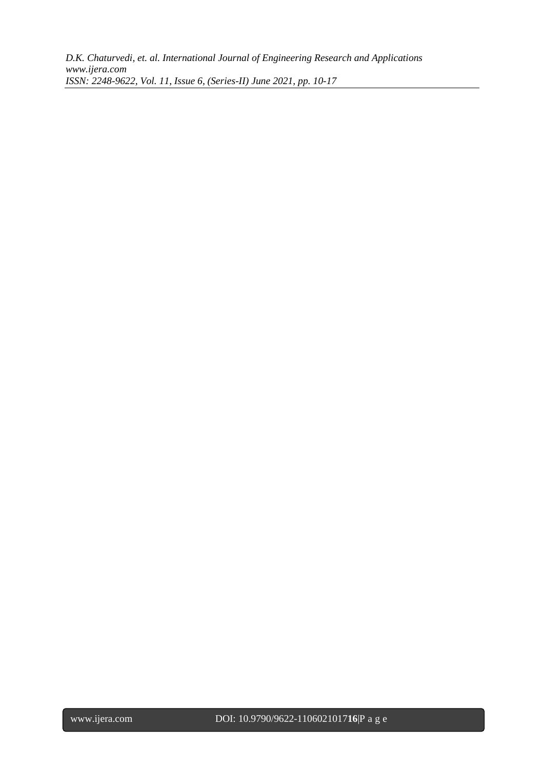*D.K. Chaturvedi, et. al. International Journal of Engineering Research and Applications www.ijera.com ISSN: 2248-9622, Vol. 11, Issue 6, (Series-II) June 2021, pp. 10-17*

www.ijera.com DOI: 10.9790/9622-1106021017**16**|P a g e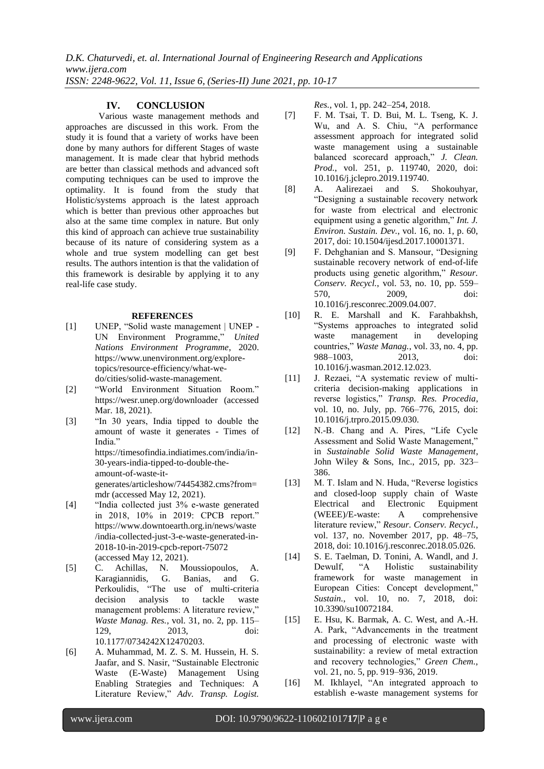*D.K. Chaturvedi, et. al. International Journal of Engineering Research and Applications www.ijera.com ISSN: 2248-9622, Vol. 11, Issue 6, (Series-II) June 2021, pp. 10-17*

#### **IV. CONCLUSION**

Various waste management methods and approaches are discussed in this work. From the study it is found that a variety of works have been done by many authors for different Stages of waste management. It is made clear that hybrid methods are better than classical methods and advanced soft computing techniques can be used to improve the optimality. It is found from the study that Holistic/systems approach is the latest approach which is better than previous other approaches but also at the same time complex in nature. But only this kind of approach can achieve true sustainability because of its nature of considering system as a whole and true system modelling can get best results. The authors intention is that the validation of this framework is desirable by applying it to any real-life case study.

#### **REFERENCES**

- [1] UNEP, "Solid waste management | UNEP UN Environment Programme," *United Nations Environment Programme*, 2020. https://www.unenvironment.org/exploretopics/resource-efficiency/what-wedo/cities/solid-waste-management.
- [2] "World Environment Situation Room." https://wesr.unep.org/downloader (accessed Mar. 18, 2021).
- [3] "In 30 years, India tipped to double the amount of waste it generates - Times of India." https://timesofindia.indiatimes.com/india/in-30-years-india-tipped-to-double-theamount-of-waste-itgenerates/articleshow/74454382.cms?from= mdr (accessed May 12, 2021).
- [4] "India collected just 3% e-waste generated in 2018, 10% in 2019: CPCB report." https://www.downtoearth.org.in/news/waste /india-collected-just-3-e-waste-generated-in-2018-10-in-2019-cpcb-report-75072 (accessed May 12, 2021).
- [5] C. Achillas, N. Moussiopoulos, A. Karagiannidis, G. Banias, and G. Perkoulidis, "The use of multi-criteria decision analysis to tackle waste management problems: A literature review,' *Waste Manag. Res.*, vol. 31, no. 2, pp. 115– 129, 2013, doi: 10.1177/0734242X12470203.
- [6] A. Muhammad, M. Z. S. M. Hussein, H. S. Jaafar, and S. Nasir, "Sustainable Electronic Waste (E-Waste) Management Using Enabling Strategies and Techniques: A Literature Review," *Adv. Transp. Logist.*

*Res.*, vol. 1, pp. 242–254, 2018.

- [7] F. M. Tsai, T. D. Bui, M. L. Tseng, K. J. Wu, and A. S. Chiu, "A performance assessment approach for integrated solid waste management using a sustainable balanced scorecard approach," *J. Clean. Prod.*, vol. 251, p. 119740, 2020, doi: 10.1016/j.jclepro.2019.119740.
- [8] A. Aalirezaei and S. Shokouhyar, "Designing a sustainable recovery network for waste from electrical and electronic equipment using a genetic algorithm," *Int. J. Environ. Sustain. Dev.*, vol. 16, no. 1, p. 60, 2017, doi: 10.1504/ijesd.2017.10001371.
- [9] F. Dehghanian and S. Mansour, "Designing sustainable recovery network of end-of-life products using genetic algorithm," *Resour. Conserv. Recycl.*, vol. 53, no. 10, pp. 559– 570, 2009, doi: 10.1016/j.resconrec.2009.04.007.
- [10] R. E. Marshall and K. Farahbakhsh, "Systems approaches to integrated solid waste management in developing countries," *Waste Manag.*, vol. 33, no. 4, pp. 988–1003, 2013, doi: 10.1016/j.wasman.2012.12.023.
- [11] J. Rezaei, "A systematic review of multicriteria decision-making applications in reverse logistics," *Transp. Res. Procedia*, vol. 10, no. July, pp. 766–776, 2015, doi: 10.1016/j.trpro.2015.09.030.
- [12] N.-B. Chang and A. Pires, "Life Cycle Assessment and Solid Waste Management," in *Sustainable Solid Waste Management*, John Wiley & Sons, Inc., 2015, pp. 323– 386.
- [13] M. T. Islam and N. Huda, "Reverse logistics and closed-loop supply chain of Waste Electrical and Electronic Equipment (WEEE)/E-waste: A comprehensive literature review," *Resour. Conserv. Recycl.*, vol. 137, no. November 2017, pp. 48–75, 2018, doi: 10.1016/j.resconrec.2018.05.026.
- [14] S. E. Taelman, D. Tonini, A. Wandl, and J. Dewulf "A Holistic sustainability framework for waste management in European Cities: Concept development," *Sustain.*, vol. 10, no. 7, 2018, doi: 10.3390/su10072184.
- [15] E. Hsu, K. Barmak, A. C. West, and A.-H. A. Park, "Advancements in the treatment and processing of electronic waste with sustainability: a review of metal extraction and recovery technologies," *Green Chem.*, vol. 21, no. 5, pp. 919–936, 2019.
- [16] M. Ikhlayel, "An integrated approach to establish e-waste management systems for